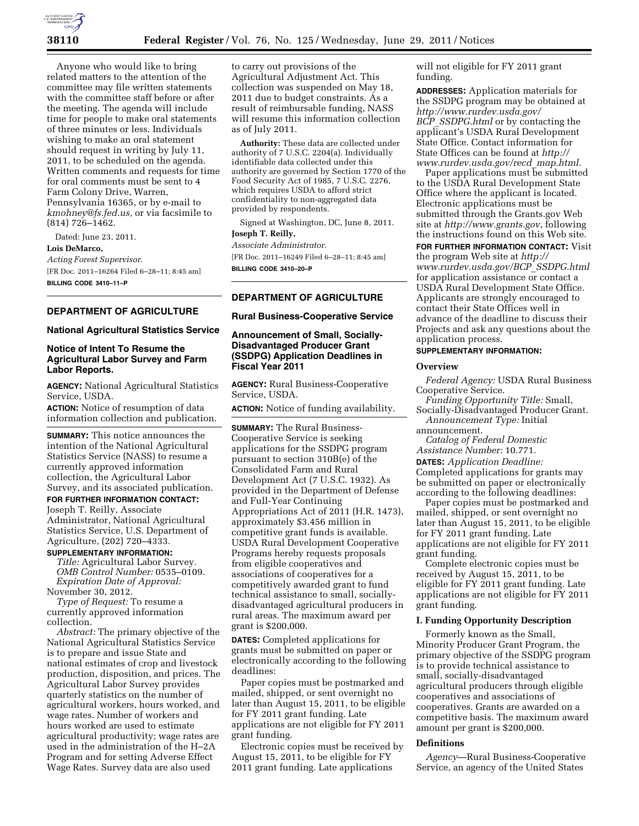

Anyone who would like to bring related matters to the attention of the committee may file written statements with the committee staff before or after the meeting. The agenda will include time for people to make oral statements of three minutes or less. Individuals wishing to make an oral statement should request in writing by July 11, 2011, to be scheduled on the agenda. Written comments and requests for time for oral comments must be sent to 4 Farm Colony Drive, Warren, Pennsylvania 16365, or by e-mail to *[kmohney@fs.fed.us,](mailto:kmohney@fs.fed.us)* or via facsimile to (814) 726–1462.

Dated: June 23, 2011. **Lois DeMarco,**  *Acting Forest Supervisor.*  [FR Doc. 2011–16264 Filed 6–28–11; 8:45 am] **BILLING CODE 3410–11–P** 

# **DEPARTMENT OF AGRICULTURE**

## **National Agricultural Statistics Service**

# **Notice of Intent To Resume the Agricultural Labor Survey and Farm Labor Reports.**

**AGENCY:** National Agricultural Statistics Service, USDA.

**ACTION:** Notice of resumption of data information collection and publication.

**SUMMARY:** This notice announces the intention of the National Agricultural Statistics Service (NASS) to resume a currently approved information collection, the Agricultural Labor Survey, and its associated publication.

# **FOR FURTHER INFORMATION CONTACT:**

Joseph T. Reilly, Associate Administrator, National Agricultural Statistics Service, U.S. Department of Agriculture, (202) 720–4333.

#### **SUPPLEMENTARY INFORMATION:**

*Title:* Agricultural Labor Survey. *OMB Control Number:* 0535–0109. *Expiration Date of Approval:*  November 30, 2012.

*Type of Request:* To resume a currently approved information collection.

*Abstract:* The primary objective of the National Agricultural Statistics Service is to prepare and issue State and national estimates of crop and livestock production, disposition, and prices. The Agricultural Labor Survey provides quarterly statistics on the number of agricultural workers, hours worked, and wage rates. Number of workers and hours worked are used to estimate agricultural productivity; wage rates are used in the administration of the H–2A Program and for setting Adverse Effect Wage Rates. Survey data are also used

to carry out provisions of the Agricultural Adjustment Act. This collection was suspended on May 18, 2011 due to budget constraints. As a result of reimbursable funding, NASS will resume this information collection as of July 2011.

**Authority:** These data are collected under authority of 7 U.S.C. 2204(a). Individually identifiable data collected under this authority are governed by Section 1770 of the Food Security Act of 1985, 7 U.S.C. 2276, which requires USDA to afford strict confidentiality to non-aggregated data provided by respondents.

Signed at Washington, DC, June 8, 2011. **Joseph T. Reilly,** 

*Associate Administrator.*  [FR Doc. 2011–16249 Filed 6–28–11; 8:45 am] **BILLING CODE 3410–20–P** 

# **DEPARTMENT OF AGRICULTURE**

## **Rural Business-Cooperative Service**

## **Announcement of Small, Socially-Disadvantaged Producer Grant (SSDPG) Application Deadlines in Fiscal Year 2011**

**AGENCY:** Rural Business-Cooperative Service, USDA.

**ACTION:** Notice of funding availability.

**SUMMARY:** The Rural Business-Cooperative Service is seeking applications for the SSDPG program pursuant to section 310B(e) of the Consolidated Farm and Rural Development Act (7 U.S.C. 1932). As provided in the Department of Defense and Full-Year Continuing Appropriations Act of 2011 (H.R. 1473), approximately \$3.456 million in competitive grant funds is available. USDA Rural Development Cooperative Programs hereby requests proposals from eligible cooperatives and associations of cooperatives for a competitively awarded grant to fund technical assistance to small, sociallydisadvantaged agricultural producers in rural areas. The maximum award per grant is \$200,000.

**DATES:** Completed applications for grants must be submitted on paper or electronically according to the following deadlines:

Paper copies must be postmarked and mailed, shipped, or sent overnight no later than August 15, 2011, to be eligible for FY 2011 grant funding. Late applications are not eligible for FY 2011 grant funding.

Electronic copies must be received by August 15, 2011, to be eligible for FY 2011 grant funding. Late applications

will not eligible for FY 2011 grant funding.

**ADDRESSES:** Application materials for the SSDPG program may be obtained at *[http://www.rurdev.usda.gov/](http://www.rurdev.usda.gov/BCP_SSDPG.html) BCP*\_*[SSDPG.html](http://www.rurdev.usda.gov/BCP_SSDPG.html)* or by contacting the applicant's USDA Rural Development State Office. Contact information for State Offices can be found at *[http://](http://www.rurdev.usda.gov/recd_map.html)  [www.rurdev.usda.gov/recd](http://www.rurdev.usda.gov/recd_map.html)*\_*map.html.* 

Paper applications must be submitted to the USDA Rural Development State Office where the applicant is located. Electronic applications must be submitted through the Grants.gov Web site at *<http://www.grants.gov>*, following the instructions found on this Web site.

**FOR FURTHER INFORMATION CONTACT:** Visit the program Web site at *[http://](http://www.rurdev.usda.gov/BCP_SSDPG.html)  [www.rurdev.usda.gov/BCP](http://www.rurdev.usda.gov/BCP_SSDPG.html)*\_*SSDPG.html*  for application assistance or contact a USDA Rural Development State Office. Applicants are strongly encouraged to contact their State Offices well in advance of the deadline to discuss their Projects and ask any questions about the application process.

## **SUPPLEMENTARY INFORMATION:**

#### **Overview**

*Federal Agency:* USDA Rural Business Cooperative Service.

*Funding Opportunity Title:* Small, Socially-Disadvantaged Producer Grant.

*Announcement Type:* Initial announcement.

*Catalog of Federal Domestic Assistance Number:* 10.771.

**DATES:** *Application Deadline:*  Completed applications for grants may be submitted on paper or electronically according to the following deadlines:

Paper copies must be postmarked and mailed, shipped, or sent overnight no later than August 15, 2011, to be eligible for FY 2011 grant funding. Late applications are not eligible for FY 2011 grant funding.

Complete electronic copies must be received by August 15, 2011, to be eligible for FY 2011 grant funding. Late applications are not eligible for FY 2011 grant funding.

## **I. Funding Opportunity Description**

Formerly known as the Small, Minority Producer Grant Program, the primary objective of the SSDPG program is to provide technical assistance to small, socially-disadvantaged agricultural producers through eligible cooperatives and associations of cooperatives. Grants are awarded on a competitive basis. The maximum award amount per grant is \$200,000.

## **Definitions**

*Agency*—Rural Business-Cooperative Service, an agency of the United States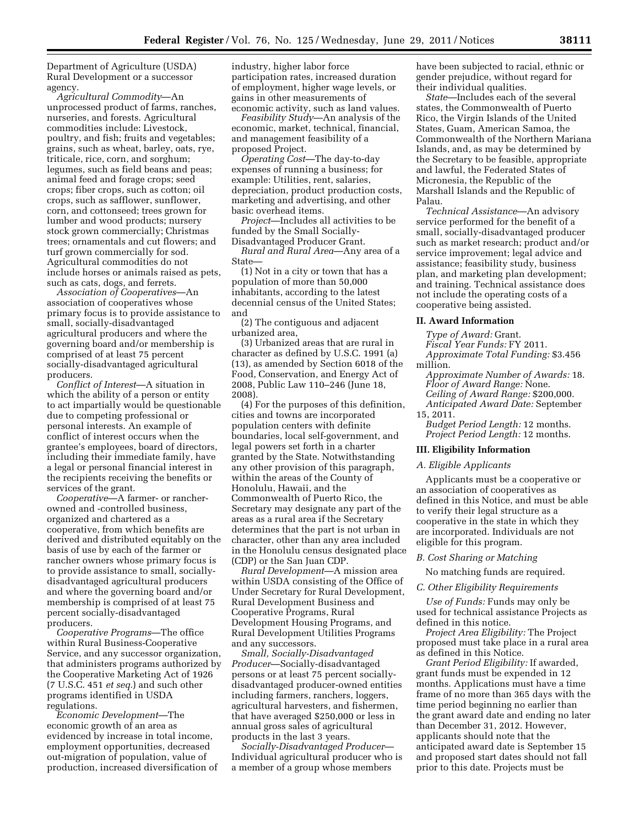Department of Agriculture (USDA) Rural Development or a successor agency.

*Agricultural Commodity*—An unprocessed product of farms, ranches, nurseries, and forests. Agricultural commodities include: Livestock, poultry, and fish; fruits and vegetables; grains, such as wheat, barley, oats, rye, triticale, rice, corn, and sorghum; legumes, such as field beans and peas; animal feed and forage crops; seed crops; fiber crops, such as cotton; oil crops, such as safflower, sunflower, corn, and cottonseed; trees grown for lumber and wood products; nursery stock grown commercially; Christmas trees; ornamentals and cut flowers; and turf grown commercially for sod. Agricultural commodities do not include horses or animals raised as pets, such as cats, dogs, and ferrets.

*Association of Cooperatives*—An association of cooperatives whose primary focus is to provide assistance to small, socially-disadvantaged agricultural producers and where the governing board and/or membership is comprised of at least 75 percent socially-disadvantaged agricultural producers.

*Conflict of Interest*—A situation in which the ability of a person or entity to act impartially would be questionable due to competing professional or personal interests. An example of conflict of interest occurs when the grantee's employees, board of directors, including their immediate family, have a legal or personal financial interest in the recipients receiving the benefits or services of the grant.

*Cooperative*—A farmer- or rancherowned and -controlled business, organized and chartered as a cooperative, from which benefits are derived and distributed equitably on the basis of use by each of the farmer or rancher owners whose primary focus is to provide assistance to small, sociallydisadvantaged agricultural producers and where the governing board and/or membership is comprised of at least 75 percent socially-disadvantaged producers.

*Cooperative Programs*—The office within Rural Business-Cooperative Service, and any successor organization, that administers programs authorized by the Cooperative Marketing Act of 1926 (7 U.S.C. 451 *et seq.*) and such other programs identified in USDA regulations.

*Economic Development*—The economic growth of an area as evidenced by increase in total income, employment opportunities, decreased out-migration of population, value of production, increased diversification of industry, higher labor force participation rates, increased duration of employment, higher wage levels, or gains in other measurements of economic activity, such as land values.

*Feasibility Study*—An analysis of the economic, market, technical, financial, and management feasibility of a proposed Project.

*Operating Cost*—The day-to-day expenses of running a business; for example: Utilities, rent, salaries, depreciation, product production costs, marketing and advertising, and other basic overhead items.

*Project*—Includes all activities to be funded by the Small Socially-Disadvantaged Producer Grant.

*Rural and Rural Area*—Any area of a State—

(1) Not in a city or town that has a population of more than 50,000 inhabitants, according to the latest decennial census of the United States; and

(2) The contiguous and adjacent urbanized area,

(3) Urbanized areas that are rural in character as defined by U.S.C. 1991 (a) (13), as amended by Section 6018 of the Food, Conservation, and Energy Act of 2008, Public Law 110–246 (June 18, 2008).

(4) For the purposes of this definition, cities and towns are incorporated population centers with definite boundaries, local self-government, and legal powers set forth in a charter granted by the State. Notwithstanding any other provision of this paragraph, within the areas of the County of Honolulu, Hawaii, and the Commonwealth of Puerto Rico, the Secretary may designate any part of the areas as a rural area if the Secretary determines that the part is not urban in character, other than any area included in the Honolulu census designated place (CDP) or the San Juan CDP.

*Rural Development*—A mission area within USDA consisting of the Office of Under Secretary for Rural Development, Rural Development Business and Cooperative Programs, Rural Development Housing Programs, and Rural Development Utilities Programs and any successors.

*Small, Socially-Disadvantaged Producer*—Socially-disadvantaged persons or at least 75 percent sociallydisadvantaged producer-owned entities including farmers, ranchers, loggers, agricultural harvesters, and fishermen, that have averaged \$250,000 or less in annual gross sales of agricultural products in the last 3 years.

*Socially-Disadvantaged Producer*— Individual agricultural producer who is a member of a group whose members

have been subjected to racial, ethnic or gender prejudice, without regard for their individual qualities.

*State*—Includes each of the several states, the Commonwealth of Puerto Rico, the Virgin Islands of the United States, Guam, American Samoa, the Commonwealth of the Northern Mariana Islands, and, as may be determined by the Secretary to be feasible, appropriate and lawful, the Federated States of Micronesia, the Republic of the Marshall Islands and the Republic of Palau.

*Technical Assistance*—An advisory service performed for the benefit of a small, socially-disadvantaged producer such as market research; product and/or service improvement; legal advice and assistance; feasibility study, business plan, and marketing plan development; and training. Technical assistance does not include the operating costs of a cooperative being assisted.

#### **II. Award Information**

*Type of Award:* Grant. *Fiscal Year Funds:* FY 2011. *Approximate Total Funding:* \$3.456 million.

*Approximate Number of Awards:* 18. *Floor of Award Range:* None. *Ceiling of Award Range:* \$200,000. *Anticipated Award Date:* September 15, 2011.

*Budget Period Length:* 12 months. *Project Period Length:* 12 months.

### **III. Eligibility Information**

### *A. Eligible Applicants*

Applicants must be a cooperative or an association of cooperatives as defined in this Notice, and must be able to verify their legal structure as a cooperative in the state in which they are incorporated. Individuals are not eligible for this program.

#### *B. Cost Sharing or Matching*

No matching funds are required.

#### *C. Other Eligibility Requirements*

*Use of Funds:* Funds may only be used for technical assistance Projects as defined in this notice.

*Project Area Eligibility:* The Project proposed must take place in a rural area as defined in this Notice.

*Grant Period Eligibility:* If awarded, grant funds must be expended in 12 months. Applications must have a time frame of no more than 365 days with the time period beginning no earlier than the grant award date and ending no later than December 31, 2012. However, applicants should note that the anticipated award date is September 15 and proposed start dates should not fall prior to this date. Projects must be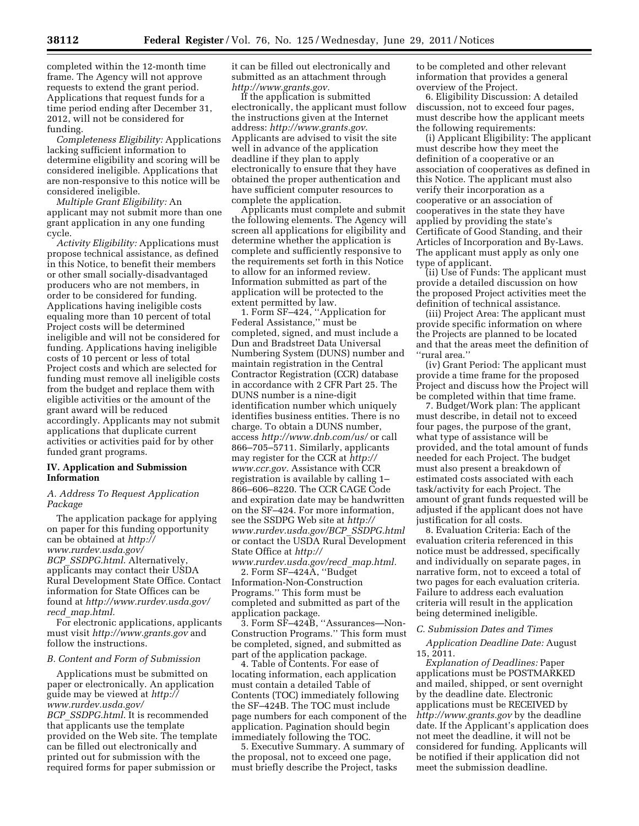completed within the 12-month time frame. The Agency will not approve requests to extend the grant period. Applications that request funds for a time period ending after December 31, 2012, will not be considered for funding.

*Completeness Eligibility:* Applications lacking sufficient information to determine eligibility and scoring will be considered ineligible. Applications that are non-responsive to this notice will be considered ineligible.

*Multiple Grant Eligibility:* An applicant may not submit more than one grant application in any one funding cycle.

*Activity Eligibility:* Applications must propose technical assistance, as defined in this Notice, to benefit their members or other small socially-disadvantaged producers who are not members, in order to be considered for funding. Applications having ineligible costs equaling more than 10 percent of total Project costs will be determined ineligible and will not be considered for funding. Applications having ineligible costs of 10 percent or less of total Project costs and which are selected for funding must remove all ineligible costs from the budget and replace them with eligible activities or the amount of the grant award will be reduced accordingly. Applicants may not submit applications that duplicate current activities or activities paid for by other funded grant programs.

## **IV. Application and Submission Information**

### *A. Address To Request Application Package*

The application package for applying on paper for this funding opportunity can be obtained at *[http://](http://www.rurdev.usda.gov/BCP_SSDPG.html)  [www.rurdev.usda.gov/](http://www.rurdev.usda.gov/BCP_SSDPG.html)  BCP*\_*[SSDPG.html](http://www.rurdev.usda.gov/BCP_SSDPG.html)*. Alternatively, applicants may contact their USDA Rural Development State Office. Contact information for State Offices can be found at *[http://www.rurdev.usda.gov/](http://www.rurdev.usda.gov/recd_map.html) recd*\_*[map.html.](http://www.rurdev.usda.gov/recd_map.html)* 

For electronic applications, applicants must visit *<http://www.grants.gov>* and follow the instructions.

### *B. Content and Form of Submission*

Applications must be submitted on paper or electronically. An application guide may be viewed at *[http://](http://www.rurdev.usda.gov/BCP_SSDPG.html) [www.rurdev.usda.gov/](http://www.rurdev.usda.gov/BCP_SSDPG.html)  BCP*\_*[SSDPG.html](http://www.rurdev.usda.gov/BCP_SSDPG.html)*. It is recommended that applicants use the template provided on the Web site. The template can be filled out electronically and printed out for submission with the required forms for paper submission or

it can be filled out electronically and submitted as an attachment through *[http://www.grants.gov.](http://www.grants.gov)* 

If the application is submitted electronically, the applicant must follow the instructions given at the Internet address: *<http://www.grants.gov>*. Applicants are advised to visit the site well in advance of the application deadline if they plan to apply electronically to ensure that they have obtained the proper authentication and have sufficient computer resources to complete the application.

Applicants must complete and submit the following elements. The Agency will screen all applications for eligibility and determine whether the application is complete and sufficiently responsive to the requirements set forth in this Notice to allow for an informed review. Information submitted as part of the application will be protected to the extent permitted by law.

1. Form SF–424, ''Application for Federal Assistance,'' must be completed, signed, and must include a Dun and Bradstreet Data Universal Numbering System (DUNS) number and maintain registration in the Central Contractor Registration (CCR) database in accordance with 2 CFR Part 25. The DUNS number is a nine-digit identification number which uniquely identifies business entities. There is no charge. To obtain a DUNS number, access *<http://www.dnb.com/us/>* or call 866–705–5711. Similarly, applicants may register for the CCR at *[http://](http://www.ccr.gov) [www.ccr.gov.](http://www.ccr.gov)* Assistance with CCR registration is available by calling 1– 866–606–8220. The CCR CAGE Code and expiration date may be handwritten on the SF–424. For more information, see the SSDPG Web site at *[http://](http://www.rurdev.usda.gov/BCP_SSDPG.html) [www.rurdev.usda.gov/BCP](http://www.rurdev.usda.gov/BCP_SSDPG.html)*\_*SSDPG.html*  or contact the USDA Rural Development State Office at *[http://](http://www.rurdev.usda.gov/recd_map.html)* 

*[www.rurdev.usda.gov/recd](http://www.rurdev.usda.gov/recd_map.html)*\_*map.html.*  2. Form SF–424A, ''Budget Information-Non-Construction Programs.'' This form must be completed and submitted as part of the application package.

3. Form SF–424B, ''Assurances—Non-Construction Programs.'' This form must be completed, signed, and submitted as part of the application package.

4. Table of Contents. For ease of locating information, each application must contain a detailed Table of Contents (TOC) immediately following the SF–424B. The TOC must include page numbers for each component of the application. Pagination should begin immediately following the TOC.

5. Executive Summary. A summary of the proposal, not to exceed one page, must briefly describe the Project, tasks

to be completed and other relevant information that provides a general overview of the Project.

6. Eligibility Discussion: A detailed discussion, not to exceed four pages, must describe how the applicant meets the following requirements:

(i) Applicant Eligibility: The applicant must describe how they meet the definition of a cooperative or an association of cooperatives as defined in this Notice. The applicant must also verify their incorporation as a cooperative or an association of cooperatives in the state they have applied by providing the state's Certificate of Good Standing, and their Articles of Incorporation and By-Laws. The applicant must apply as only one type of applicant.

(ii) Use of Funds: The applicant must provide a detailed discussion on how the proposed Project activities meet the definition of technical assistance.

(iii) Project Area: The applicant must provide specific information on where the Projects are planned to be located and that the areas meet the definition of ''rural area.''

(iv) Grant Period: The applicant must provide a time frame for the proposed Project and discuss how the Project will be completed within that time frame.

7. Budget/Work plan: The applicant must describe, in detail not to exceed four pages, the purpose of the grant, what type of assistance will be provided, and the total amount of funds needed for each Project. The budget must also present a breakdown of estimated costs associated with each task/activity for each Project. The amount of grant funds requested will be adjusted if the applicant does not have justification for all costs.

8. Evaluation Criteria: Each of the evaluation criteria referenced in this notice must be addressed, specifically and individually on separate pages, in narrative form, not to exceed a total of two pages for each evaluation criteria. Failure to address each evaluation criteria will result in the application being determined ineligible.

### *C. Submission Dates and Times*

*Application Deadline Date:* August 15, 2011.

*Explanation of Deadlines:* Paper applications must be POSTMARKED and mailed, shipped, or sent overnight by the deadline date. Electronic applications must be RECEIVED by *<http://www.grants.gov>*by the deadline date. If the Applicant's application does not meet the deadline, it will not be considered for funding. Applicants will be notified if their application did not meet the submission deadline.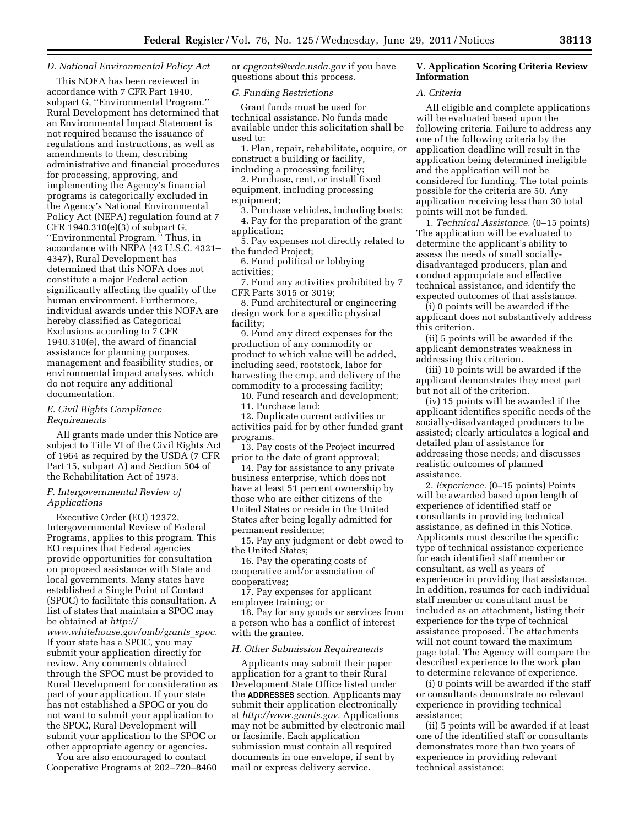## *D. National Environmental Policy Act*

This NOFA has been reviewed in accordance with 7 CFR Part 1940, subpart G, ''Environmental Program.'' Rural Development has determined that an Environmental Impact Statement is not required because the issuance of regulations and instructions, as well as amendments to them, describing administrative and financial procedures for processing, approving, and implementing the Agency's financial programs is categorically excluded in the Agency's National Environmental Policy Act (NEPA) regulation found at 7 CFR 1940.310(e)(3) of subpart G, ''Environmental Program.'' Thus, in accordance with NEPA (42 U.S.C. 4321– 4347), Rural Development has determined that this NOFA does not constitute a major Federal action significantly affecting the quality of the human environment. Furthermore, individual awards under this NOFA are hereby classified as Categorical Exclusions according to 7 CFR 1940.310(e), the award of financial assistance for planning purposes, management and feasibility studies, or environmental impact analyses, which do not require any additional documentation.

## *E. Civil Rights Compliance Requirements*

All grants made under this Notice are subject to Title VI of the Civil Rights Act of 1964 as required by the USDA (7 CFR Part 15, subpart A) and Section 504 of the Rehabilitation Act of 1973.

## *F. Intergovernmental Review of Applications*

Executive Order (EO) 12372, Intergovernmental Review of Federal Programs, applies to this program. This EO requires that Federal agencies provide opportunities for consultation on proposed assistance with State and local governments. Many states have established a Single Point of Contact (SPOC) to facilitate this consultation. A list of states that maintain a SPOC may be obtained at *[http://](http://www.whitehouse.gov/omb/grants_spoc)* 

*[www.whitehouse.gov/omb/grants](http://www.whitehouse.gov/omb/grants_spoc)*\_*spoc.*  If your state has a SPOC, you may submit your application directly for review. Any comments obtained through the SPOC must be provided to Rural Development for consideration as part of your application. If your state has not established a SPOC or you do not want to submit your application to the SPOC, Rural Development will submit your application to the SPOC or other appropriate agency or agencies.

You are also encouraged to contact Cooperative Programs at 202–720–8460 or *[cpgrants@wdc.usda.gov](mailto:cpgrants@wdc.usda.gov)* if you have questions about this process.

### *G. Funding Restrictions*

Grant funds must be used for technical assistance. No funds made available under this solicitation shall be used to:

1. Plan, repair, rehabilitate, acquire, or construct a building or facility, including a processing facility;

2. Purchase, rent, or install fixed equipment, including processing equipment;

3. Purchase vehicles, including boats; 4. Pay for the preparation of the grant application;

5. Pay expenses not directly related to the funded Project;

6. Fund political or lobbying activities;

7. Fund any activities prohibited by 7 CFR Parts 3015 or 3019;

8. Fund architectural or engineering design work for a specific physical facility;

9. Fund any direct expenses for the production of any commodity or product to which value will be added, including seed, rootstock, labor for harvesting the crop, and delivery of the commodity to a processing facility;

10. Fund research and development;

11. Purchase land;

12. Duplicate current activities or activities paid for by other funded grant programs.

13. Pay costs of the Project incurred prior to the date of grant approval;

14. Pay for assistance to any private business enterprise, which does not have at least 51 percent ownership by those who are either citizens of the United States or reside in the United States after being legally admitted for permanent residence;

15. Pay any judgment or debt owed to the United States;

16. Pay the operating costs of cooperative and/or association of cooperatives;

17. Pay expenses for applicant employee training; or

18. Pay for any goods or services from a person who has a conflict of interest with the grantee.

### *H. Other Submission Requirements*

Applicants may submit their paper application for a grant to their Rural Development State Office listed under the **ADDRESSES** section. Applicants may submit their application electronically at *[http://www.grants.gov.](http://www.grants.gov)* Applications may not be submitted by electronic mail or facsimile. Each application submission must contain all required documents in one envelope, if sent by mail or express delivery service.

# **V. Application Scoring Criteria Review Information**

## *A. Criteria*

All eligible and complete applications will be evaluated based upon the following criteria. Failure to address any one of the following criteria by the application deadline will result in the application being determined ineligible and the application will not be considered for funding. The total points possible for the criteria are 50. Any application receiving less than 30 total points will not be funded.

1. *Technical Assistance.* (0–15 points) The application will be evaluated to determine the applicant's ability to assess the needs of small sociallydisadvantaged producers, plan and conduct appropriate and effective technical assistance, and identify the expected outcomes of that assistance.

(i) 0 points will be awarded if the applicant does not substantively address this criterion.

(ii) 5 points will be awarded if the applicant demonstrates weakness in addressing this criterion.

(iii) 10 points will be awarded if the applicant demonstrates they meet part but not all of the criterion.

(iv) 15 points will be awarded if the applicant identifies specific needs of the socially-disadvantaged producers to be assisted; clearly articulates a logical and detailed plan of assistance for addressing those needs; and discusses realistic outcomes of planned assistance.

2. *Experience.* (0–15 points) Points will be awarded based upon length of experience of identified staff or consultants in providing technical assistance, as defined in this Notice. Applicants must describe the specific type of technical assistance experience for each identified staff member or consultant, as well as years of experience in providing that assistance. In addition, resumes for each individual staff member or consultant must be included as an attachment, listing their experience for the type of technical assistance proposed. The attachments will not count toward the maximum page total. The Agency will compare the described experience to the work plan to determine relevance of experience.

(i) 0 points will be awarded if the staff or consultants demonstrate no relevant experience in providing technical assistance;

(ii) 5 points will be awarded if at least one of the identified staff or consultants demonstrates more than two years of experience in providing relevant technical assistance;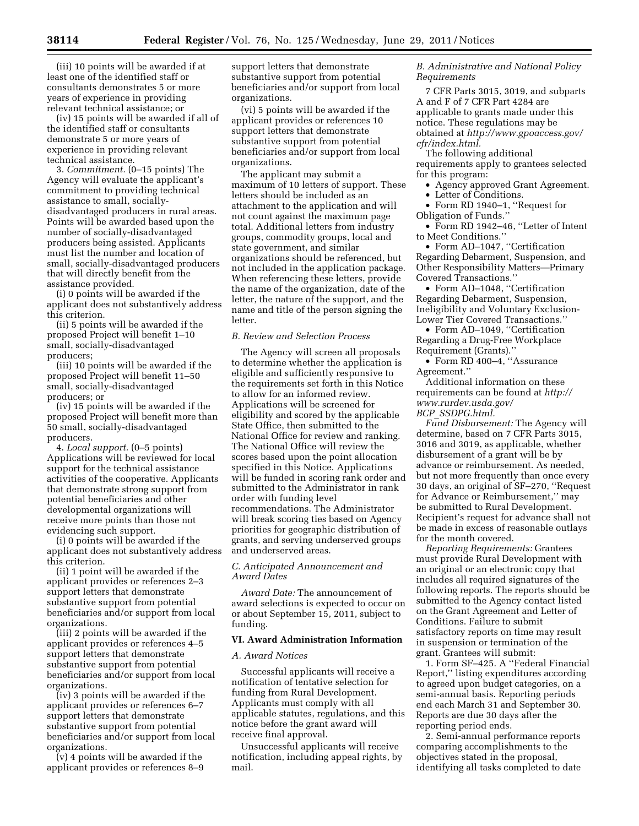(iii) 10 points will be awarded if at least one of the identified staff or consultants demonstrates 5 or more years of experience in providing relevant technical assistance; or

(iv) 15 points will be awarded if all of the identified staff or consultants demonstrate 5 or more years of experience in providing relevant technical assistance.

3. *Commitment.* (0–15 points) The Agency will evaluate the applicant's commitment to providing technical assistance to small, sociallydisadvantaged producers in rural areas. Points will be awarded based upon the number of socially-disadvantaged producers being assisted. Applicants must list the number and location of small, socially-disadvantaged producers that will directly benefit from the assistance provided.

(i) 0 points will be awarded if the applicant does not substantively address this criterion.

(ii) 5 points will be awarded if the proposed Project will benefit 1–10 small, socially-disadvantaged producers;

(iii) 10 points will be awarded if the proposed Project will benefit 11–50 small, socially-disadvantaged producers; or

(iv) 15 points will be awarded if the proposed Project will benefit more than 50 small, socially-disadvantaged producers.

4. *Local support.* (0–5 points) Applications will be reviewed for local support for the technical assistance activities of the cooperative. Applicants that demonstrate strong support from potential beneficiaries and other developmental organizations will receive more points than those not evidencing such support.

(i) 0 points will be awarded if the applicant does not substantively address this criterion.

(ii) 1 point will be awarded if the applicant provides or references 2–3 support letters that demonstrate substantive support from potential beneficiaries and/or support from local organizations.

(iii) 2 points will be awarded if the applicant provides or references 4–5 support letters that demonstrate substantive support from potential beneficiaries and/or support from local organizations.

(iv) 3 points will be awarded if the applicant provides or references 6–7 support letters that demonstrate substantive support from potential beneficiaries and/or support from local organizations.

 $\check{v}$  (v) 4 points will be awarded if the applicant provides or references 8–9

support letters that demonstrate substantive support from potential beneficiaries and/or support from local organizations.

(vi) 5 points will be awarded if the applicant provides or references 10 support letters that demonstrate substantive support from potential beneficiaries and/or support from local organizations.

The applicant may submit a maximum of 10 letters of support. These letters should be included as an attachment to the application and will not count against the maximum page total. Additional letters from industry groups, commodity groups, local and state government, and similar organizations should be referenced, but not included in the application package. When referencing these letters, provide the name of the organization, date of the letter, the nature of the support, and the name and title of the person signing the letter.

## *B. Review and Selection Process*

The Agency will screen all proposals to determine whether the application is eligible and sufficiently responsive to the requirements set forth in this Notice to allow for an informed review. Applications will be screened for eligibility and scored by the applicable State Office, then submitted to the National Office for review and ranking. The National Office will review the scores based upon the point allocation specified in this Notice. Applications will be funded in scoring rank order and submitted to the Administrator in rank order with funding level recommendations. The Administrator will break scoring ties based on Agency priorities for geographic distribution of grants, and serving underserved groups and underserved areas.

## *C. Anticipated Announcement and Award Dates*

*Award Date:* The announcement of award selections is expected to occur on or about September 15, 2011, subject to funding.

## **VI. Award Administration Information**

## *A. Award Notices*

Successful applicants will receive a notification of tentative selection for funding from Rural Development. Applicants must comply with all applicable statutes, regulations, and this notice before the grant award will receive final approval.

Unsuccessful applicants will receive notification, including appeal rights, by mail.

*B. Administrative and National Policy Requirements* 

7 CFR Parts 3015, 3019, and subparts A and F of 7 CFR Part 4284 are applicable to grants made under this notice. These regulations may be obtained at *[http://www.gpoaccess.gov/](http://www.gpoaccess.gov/cfr/index.html)  [cfr/index.html.](http://www.gpoaccess.gov/cfr/index.html)* 

The following additional requirements apply to grantees selected for this program:

• Agency approved Grant Agreement.

• Letter of Conditions.

• Form RD 1940–1, ''Request for Obligation of Funds.''

• Form RD 1942–46, ''Letter of Intent to Meet Conditions.

• Form AD–1047, ''Certification Regarding Debarment, Suspension, and Other Responsibility Matters—Primary Covered Transactions.''

• Form AD-1048, "Certification Regarding Debarment, Suspension, Ineligibility and Voluntary Exclusion-Lower Tier Covered Transactions.''

• Form AD-1049, "Certification Regarding a Drug-Free Workplace Requirement (Grants).''

• Form RD 400–4, ''Assurance Agreement.''

Additional information on these requirements can be found at *[http://](http://www.rurdev.usda.gov/BCP_SSDPG.html) [www.rurdev.usda.gov/](http://www.rurdev.usda.gov/BCP_SSDPG.html)  BCP*\_*[SSDPG.html.](http://www.rurdev.usda.gov/BCP_SSDPG.html)* 

*Fund Disbursement:* The Agency will determine, based on 7 CFR Parts 3015, 3016 and 3019, as applicable, whether disbursement of a grant will be by advance or reimbursement. As needed, but not more frequently than once every 30 days, an original of SF–270, ''Request for Advance or Reimbursement,'' may be submitted to Rural Development. Recipient's request for advance shall not be made in excess of reasonable outlays for the month covered.

*Reporting Requirements:* Grantees must provide Rural Development with an original or an electronic copy that includes all required signatures of the following reports. The reports should be submitted to the Agency contact listed on the Grant Agreement and Letter of Conditions. Failure to submit satisfactory reports on time may result in suspension or termination of the grant. Grantees will submit:

1. Form SF–425. A ''Federal Financial Report,'' listing expenditures according to agreed upon budget categories, on a semi-annual basis. Reporting periods end each March 31 and September 30. Reports are due 30 days after the reporting period ends.

2. Semi-annual performance reports comparing accomplishments to the objectives stated in the proposal, identifying all tasks completed to date